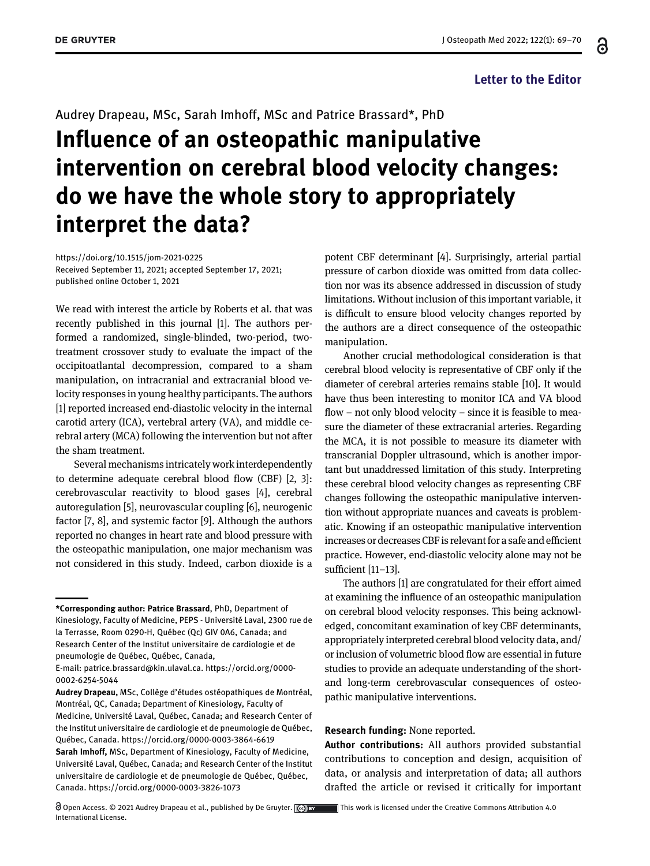## Letter to the Editor

႕

## Audrey Drapeau, MSc, Sarah Imhoff, MSc and Patrice Brassard\*, PhD Influence of an osteopathic manipulative intervention on cerebral blood velocity changes: do we have the whole story to appropriately interpret the data?

<https://doi.org/10.1515/jom-2021-0225> Received September 11, 2021; accepted September 17, 2021; published online October 1, 2021

We read with interest the article by Roberts et al. that was recently published in this journal [[1](#page-1-0)]. The authors performed a randomized, single-blinded, two-period, twotreatment crossover study to evaluate the impact of the occipitoatlantal decompression, compared to a sham manipulation, on intracranial and extracranial blood velocity responses in young healthy participants. The authors [[1\]](#page-1-0) reported increased end-diastolic velocity in the internal carotid artery (ICA), vertebral artery (VA), and middle cerebral artery (MCA) following the intervention but not after the sham treatment.

Several mechanisms intricately work interdependently to determine adequate cerebral blood flow (CBF) [\[2](#page-1-1), [3\]](#page-1-2): cerebrovascular reactivity to blood gases [\[4](#page-1-3)], cerebral autoregulation [[5](#page-1-4)], neurovascular coupling [\[6](#page-1-5)], neurogenic factor [[7](#page-1-6), [8](#page-1-7)], and systemic factor [[9\]](#page-1-8). Although the authors reported no changes in heart rate and blood pressure with the osteopathic manipulation, one major mechanism was not considered in this study. Indeed, carbon dioxide is a

Open Access. © 2021 Audrey Drapeau et al., published by De Gruyter. (@) ov This work is licensed under the Creative Commons Attribution 4.0 International License.

potent CBF determinant [\[4](#page-1-3)]. Surprisingly, arterial partial pressure of carbon dioxide was omitted from data collection nor was its absence addressed in discussion of study limitations. Without inclusion of this important variable, it is difficult to ensure blood velocity changes reported by the authors are a direct consequence of the osteopathic manipulation.

Another crucial methodological consideration is that cerebral blood velocity is representative of CBF only if the diameter of cerebral arteries remains stable [\[10](#page-1-9)]. It would have thus been interesting to monitor ICA and VA blood flow – not only blood velocity – since it is feasible to measure the diameter of these extracranial arteries. Regarding the MCA, it is not possible to measure its diameter with transcranial Doppler ultrasound, which is another important but unaddressed limitation of this study. Interpreting these cerebral blood velocity changes as representing CBF changes following the osteopathic manipulative intervention without appropriate nuances and caveats is problematic. Knowing if an osteopathic manipulative intervention increases or decreases CBF is relevant for a safe and efficient practice. However, end-diastolic velocity alone may not be sufficient [11–[13](#page-1-10)].

The authors [[1](#page-1-0)] are congratulated for their effort aimed at examining the influence of an osteopathic manipulation on cerebral blood velocity responses. This being acknowledged, concomitant examination of key CBF determinants, appropriately interpreted cerebral blood velocity data, and/ or inclusion of volumetric blood flow are essential in future studies to provide an adequate understanding of the shortand long-term cerebrovascular consequences of osteopathic manipulative interventions.

## Research funding: None reported.

Author contributions: All authors provided substantial contributions to conception and design, acquisition of data, or analysis and interpretation of data; all authors drafted the article or revised it critically for important

<sup>\*</sup>Corresponding author: Patrice Brassard, PhD, Department of Kinesiology, Faculty of Medicine, PEPS - Université Laval, 2300 rue de la Terrasse, Room 0290-H, Québec (Qc) GIV 0A6, Canada; and Research Center of the Institut universitaire de cardiologie et de pneumologie de Québec, Québec, Canada,

E-mail: [patrice.brassard@kin.ulaval.ca](mailto:patrice.brassard@kin.ulaval.ca). [https://orcid.org/0000-](https://orcid.org/0000-0002-6254-5044) [0002-6254-5044](https://orcid.org/0000-0002-6254-5044)

Audrey Drapeau, MSc, Collège d'études ostéopathiques de Montréal, Montréal, QC, Canada; Department of Kinesiology, Faculty of Medicine, Université Laval, Québec, Canada; and Research Center of the Institut universitaire de cardiologie et de pneumologie de Québec, Québec, Canada.<https://orcid.org/0000-0003-3864-6619> Sarah Imhoff, MSc, Department of Kinesiology, Faculty of Medicine, Université Laval, Québec, Canada; and Research Center of the Institut universitaire de cardiologie et de pneumologie de Québec, Québec, Canada.<https://orcid.org/0000-0003-3826-1073>